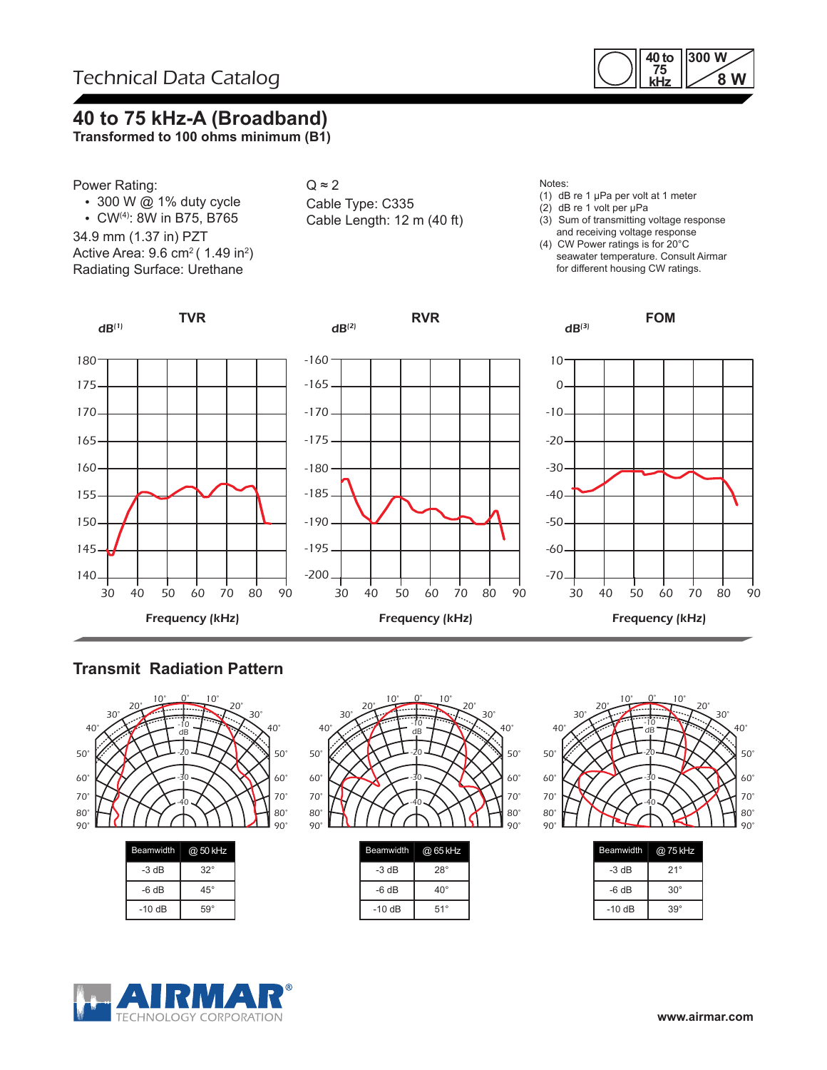

## **40 to 75 kHz-A (Broadband)**

**Transformed to 100 ohms minimum (B1)**



- $\cdot$  300 W @ 1% duty cycle
- CW(4): 8W in B75, B765
- 34.9 mm (1.37 in) PZT

Active Area: 9.6 cm $^2($  1.49 in $^2)$ Radiating Surface: Urethane



 $dB<sup>(2)</sup>$ 

#### Notes:

- (1) dB re 1 µPa per volt at 1 meter
- (2) dB re 1 volt per µPa
- (3) Sum of transmitting voltage response and receiving voltage response
- (4) CW Power ratings is for 20°C seawater temperature. Consult Airmar for different housing CW ratings.

**FOM**



**TVR**



**RVR**



## **Transmit Radiation Pattern**



| $-3 dB$ | $32^\circ$   |  |
|---------|--------------|--|
| $-6 dB$ | $45^{\circ}$ |  |
| $-10dB$ | $59^\circ$   |  |
|         |              |  |



| <b>Beamwidth</b> | @ 65 kHz     |
|------------------|--------------|
| $-3 dB$          | $28^\circ$   |
| -6 dB            | $40^{\circ}$ |
| $-10dB$          | $51^\circ$   |



| <b>Beamwidth</b> | @ 75 kHz     |  |  |  |
|------------------|--------------|--|--|--|
| -3 dB            | $21^\circ$   |  |  |  |
| -6 dB            | $30^{\circ}$ |  |  |  |
| $-10dB$          | $39^\circ$   |  |  |  |



TECHNOLOGY CORPORATION